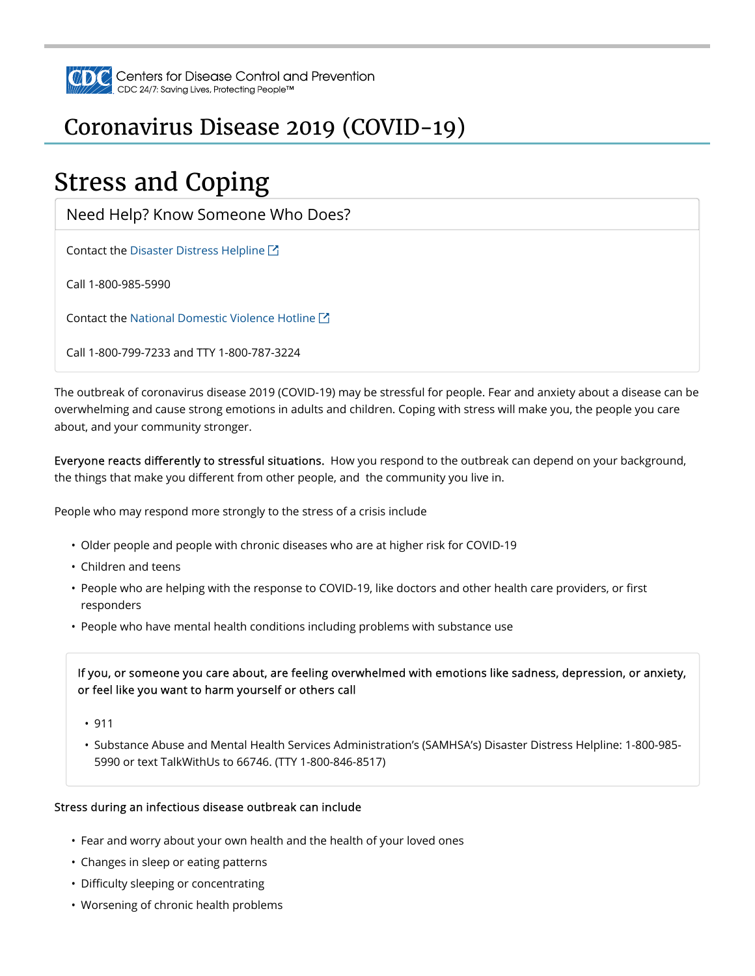

## Coronavirus Disease 2019 (COVID-19)

# Stress and Coping

Need Help? Know Someone Who Does?

Contact the Disaster Distress Helpline  $\boxtimes$ 

Call 1-800-985-5990

Contact the National Domestic Violence Hotline  $\boxtimes$ 

Call 1-800-799-7233 and TTY 1-800-787-3224

The outbreak of coronavirus disease 2019 (COVID-19) may be stressful for people. Fear and anxiety about a disease can be overwhelming and cause strong emotions in adults and children. Coping with stress will make you, the people you care about, and your community stronger.

Everyone reacts differently to stressful situations. How you respond to the outbreak can depend on your background, the things that make you different from other people, and the community you live in.

People who may respond more strongly to the stress of a crisis include

- Older people and people with chronic diseases who are at higher risk for COVID-19
- Children and teens
- People who are helping with the response to COVID-19, like doctors and other health care providers, or first responders
- People who have mental health conditions including problems with substance use

If you, or someone you care about, are feeling overwhelmed with emotions like sadness, depression, or anxiety, or feel like you want to harm yourself or others call

- 911
- Substance Abuse and Mental Health Services Administration's (SAMHSA's) Disaster Distress Helpline: 1-800-985- 5990 or text TalkWithUs to 66746. (TTY 1-800-846-8517)

#### Stress during an infectious disease outbreak can include

- Fear and worry about your own health and the health of your loved ones
- Changes in sleep or eating patterns
- Difficulty sleeping or concentrating
- Worsening of chronic health problems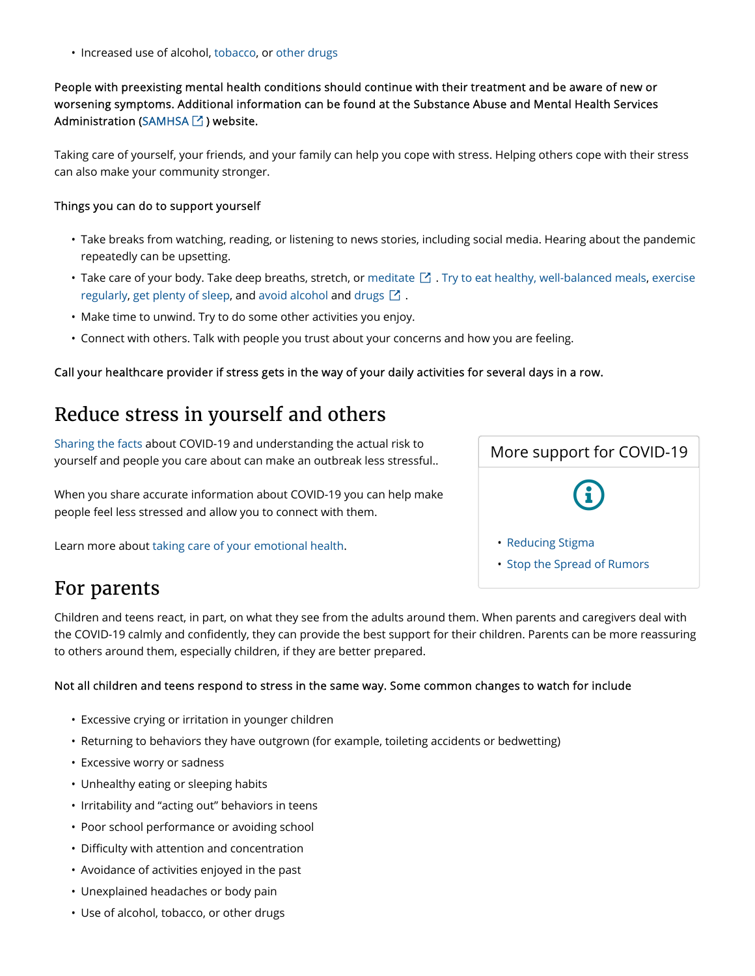• Increased use of alcohol, tobacco, or other drugs

People with preexisting mental health conditions should continue with their treatment and be aware of new or worsening symptoms. Additional information can be found at the Substance Abuse and Mental Health Services Administration (SAMHSA $\boxdot$  ) website.

Taking care of yourself, your friends, and your family can help you cope with stress. Helping others cope with their stress can also make your community stronger.

#### Things you can do to support yourself

- Take breaks from watching, reading, or listening to news stories, including social media. Hearing about the pandemic repeatedly can be upsetting.
- Take care of your body. Take deep breaths, stretch, or meditate  $\boxtimes$  . Try to eat healthy, well-balanced meals, exercise regularly, get plenty of sleep, and avoid alcohol and drugs  $\boxtimes$  .
- Make time to unwind. Try to do some other activities you enjoy.
- Connect with others. Talk with people you trust about your concerns and how you are feeling.

#### Call your healthcare provider if stress gets in the way of your daily activities for several days in a row.

### Reduce stress in yourself and others

Sharing the facts about COVID-19 and understanding the actual risk to yourself and people you care about can make an outbreak less stressful..

When you share accurate information about COVID-19 you can help make people feel less stressed and allow you to connect with them.

Learn more about taking care of your emotional health.



### For parents

Children and teens react, in part, on what they see from the adults around them. When parents and caregivers deal with the COVID-19 calmly and confidently, they can provide the best support for their children. Parents can be more reassuring to others around them, especially children, if they are better prepared.

#### Not all children and teens respond to stress in the same way. Some common changes to watch for include

- Excessive crying or irritation in younger children
- Returning to behaviors they have outgrown (for example, toileting accidents or bedwetting)
- Excessive worry or sadness
- Unhealthy eating or sleeping habits
- Irritability and "acting out" behaviors in teens
- Poor school performance or avoiding school
- Difficulty with attention and concentration
- Avoidance of activities enjoyed in the past
- Unexplained headaches or body pain
- Use of alcohol, tobacco, or other drugs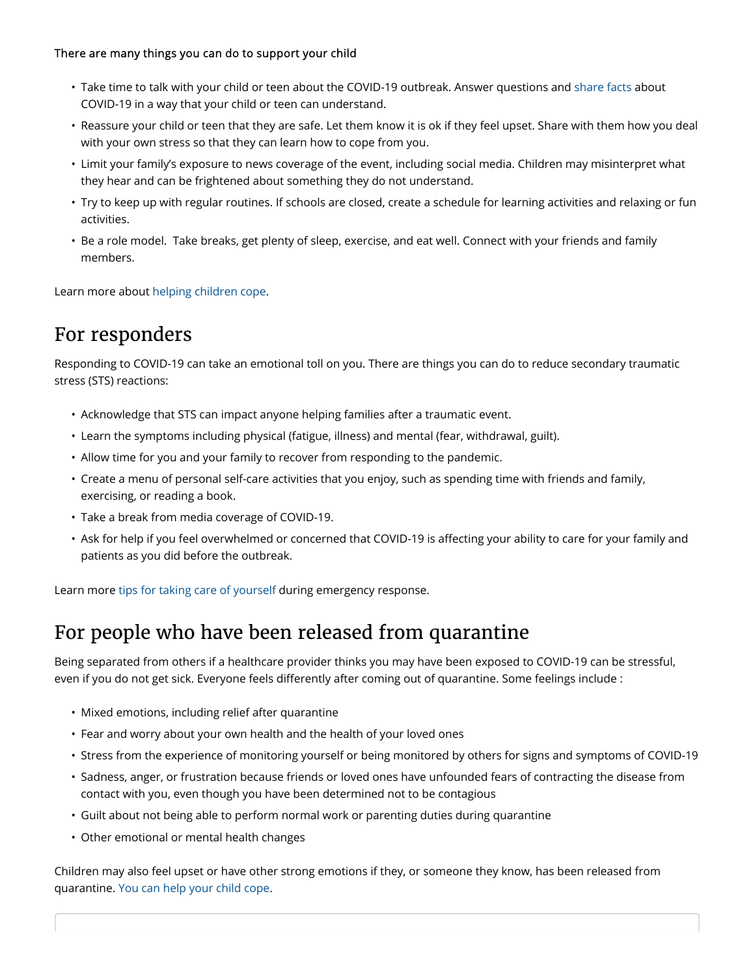#### There are many things you can do to support your child

- Take time to talk with your child or teen about the COVID-19 outbreak. Answer questions and share facts about COVID-19 in a way that your child or teen can understand.
- Reassure your child or teen that they are safe. Let them know it is ok if they feel upset. Share with them how you deal with your own stress so that they can learn how to cope from you.
- Limit your family's exposure to news coverage of the event, including social media. Children may misinterpret what they hear and can be frightened about something they do not understand.
- Try to keep up with regular routines. If schools are closed, create a schedule for learning activities and relaxing or fun activities.
- Be a role model. Take breaks, get plenty of sleep, exercise, and eat well. Connect with your friends and family members.

Learn more about helping children cope.

### For responders

Responding to COVID-19 can take an emotional toll on you. There are things you can do to reduce secondary traumatic stress (STS) reactions:

- Acknowledge that STS can impact anyone helping families after a traumatic event.
- Learn the symptoms including physical (fatigue, illness) and mental (fear, withdrawal, guilt).
- Allow time for you and your family to recover from responding to the pandemic.
- Create a menu of personal self-care activities that you enjoy, such as spending time with friends and family, exercising, or reading a book.
- Take a break from media coverage of COVID-19.
- Ask for help if you feel overwhelmed or concerned that COVID-19 is affecting your ability to care for your family and patients as you did before the outbreak.

Learn more tips for taking care of yourself during emergency response.

### For people who have been released from quarantine

Being separated from others if a healthcare provider thinks you may have been exposed to COVID-19 can be stressful, even if you do not get sick. Everyone feels differently after coming out of quarantine. Some feelings include :

- Mixed emotions, including relief after quarantine
- Fear and worry about your own health and the health of your loved ones
- Stress from the experience of monitoring yourself or being monitored by others for signs and symptoms of COVID-19
- Sadness, anger, or frustration because friends or loved ones have unfounded fears of contracting the disease from contact with you, even though you have been determined not to be contagious
- Guilt about not being able to perform normal work or parenting duties during quarantine
- Other emotional or mental health changes

Children may also feel upset or have other strong emotions if they, or someone they know, has been released from quarantine. You can help your child cope.